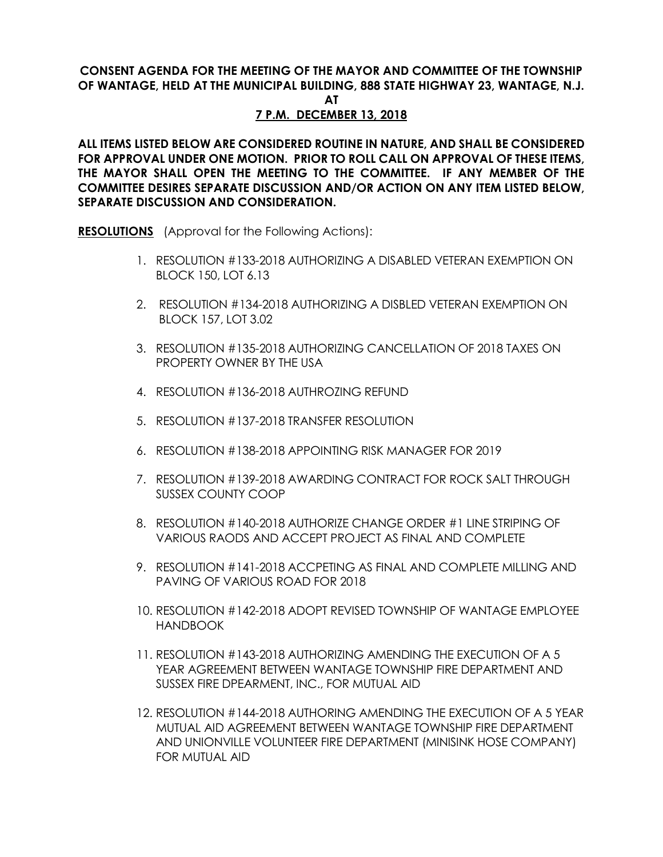## **CONSENT AGENDA FOR THE MEETING OF THE MAYOR AND COMMITTEE OF THE TOWNSHIP OF WANTAGE, HELD AT THE MUNICIPAL BUILDING, 888 STATE HIGHWAY 23, WANTAGE, N.J.**

**AT**

## **7 P.M. DECEMBER 13, 2018**

**ALL ITEMS LISTED BELOW ARE CONSIDERED ROUTINE IN NATURE, AND SHALL BE CONSIDERED FOR APPROVAL UNDER ONE MOTION. PRIOR TO ROLL CALL ON APPROVAL OF THESE ITEMS, THE MAYOR SHALL OPEN THE MEETING TO THE COMMITTEE. IF ANY MEMBER OF THE COMMITTEE DESIRES SEPARATE DISCUSSION AND/OR ACTION ON ANY ITEM LISTED BELOW, SEPARATE DISCUSSION AND CONSIDERATION.**

**RESOLUTIONS** (Approval for the Following Actions):

- 1. RESOLUTION #133-2018 AUTHORIZING A DISABLED VETERAN EXEMPTION ON BLOCK 150, LOT 6.13
- 2. RESOLUTION #134-2018 AUTHORIZING A DISBLED VETERAN EXEMPTION ON BLOCK 157, LOT 3.02
- 3. RESOLUTION #135-2018 AUTHORIZING CANCELLATION OF 2018 TAXES ON PROPERTY OWNER BY THE USA
- 4. RESOLUTION #136-2018 AUTHROZING REFUND
- 5. RESOLUTION #137-2018 TRANSFER RESOLUTION
- 6. RESOLUTION #138-2018 APPOINTING RISK MANAGER FOR 2019
- 7. RESOLUTION #139-2018 AWARDING CONTRACT FOR ROCK SALT THROUGH SUSSEX COUNTY COOP
- 8. RESOLUTION #140-2018 AUTHORIZE CHANGE ORDER #1 LINE STRIPING OF VARIOUS RAODS AND ACCEPT PROJECT AS FINAL AND COMPLETE
- 9. RESOLUTION #141-2018 ACCPETING AS FINAL AND COMPLETE MILLING AND PAVING OF VARIOUS ROAD FOR 2018
- 10. RESOLUTION #142-2018 ADOPT REVISED TOWNSHIP OF WANTAGE EMPLOYEE HANDBOOK
- 11. RESOLUTION #143-2018 AUTHORIZING AMENDING THE EXECUTION OF A 5 YEAR AGREEMENT BETWEEN WANTAGE TOWNSHIP FIRE DEPARTMENT AND SUSSEX FIRE DPEARMENT, INC., FOR MUTUAL AID
- 12. RESOLUTION #144-2018 AUTHORING AMENDING THE EXECUTION OF A 5 YEAR MUTUAL AID AGREEMENT BETWEEN WANTAGE TOWNSHIP FIRE DEPARTMENT AND UNIONVILLE VOLUNTEER FIRE DEPARTMENT (MINISINK HOSE COMPANY) FOR MUTUAL AID